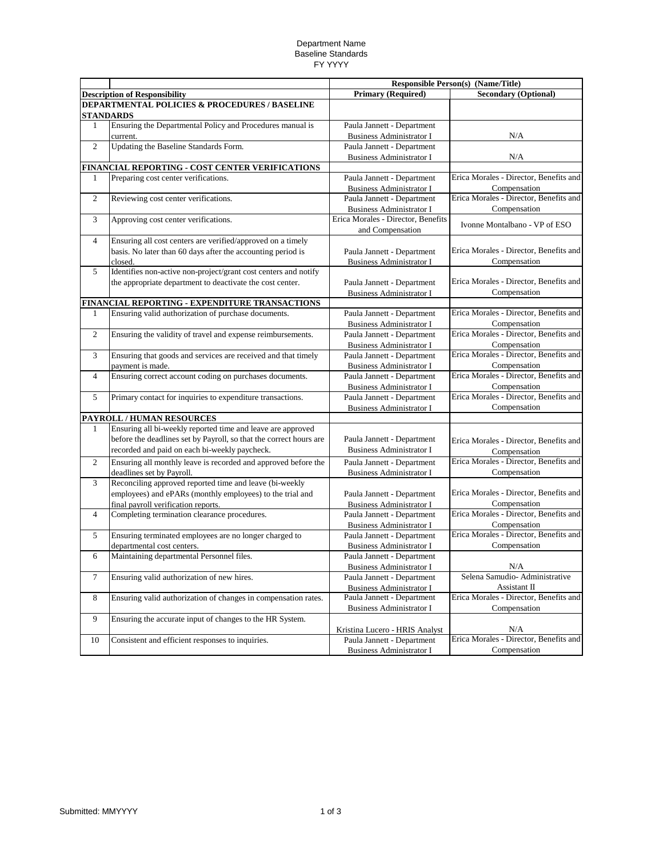## Department Name Baseline Standards FY YYYY

|                |                                                                                                                                                                                    | Responsible Person(s) (Name/Title)                            |                                                        |
|----------------|------------------------------------------------------------------------------------------------------------------------------------------------------------------------------------|---------------------------------------------------------------|--------------------------------------------------------|
|                | <b>Description of Responsibility</b>                                                                                                                                               | <b>Primary (Required)</b>                                     | <b>Secondary (Optional)</b>                            |
|                | <b>DEPARTMENTAL POLICIES &amp; PROCEDURES / BASELINE</b><br><b>STANDARDS</b>                                                                                                       |                                                               |                                                        |
| 1              | Ensuring the Departmental Policy and Procedures manual is<br>current.                                                                                                              | Paula Jannett - Department<br><b>Business Administrator I</b> | N/A                                                    |
| 2              | Updating the Baseline Standards Form.                                                                                                                                              | Paula Jannett - Department<br><b>Business Administrator I</b> | N/A                                                    |
|                | FINANCIAL REPORTING - COST CENTER VERIFICATIONS                                                                                                                                    |                                                               |                                                        |
| 1              | Preparing cost center verifications.                                                                                                                                               | Paula Jannett - Department<br><b>Business Administrator I</b> | Erica Morales - Director, Benefits and<br>Compensation |
| $\overline{c}$ | Reviewing cost center verifications.                                                                                                                                               | Paula Jannett - Department<br><b>Business Administrator I</b> | Erica Morales - Director, Benefits and<br>Compensation |
| 3              | Approving cost center verifications.                                                                                                                                               | Erica Morales - Director, Benefits<br>and Compensation        | Ivonne Montalbano - VP of ESO                          |
| $\overline{4}$ | Ensuring all cost centers are verified/approved on a timely<br>basis. No later than 60 days after the accounting period is<br>closed.                                              | Paula Jannett - Department<br><b>Business Administrator I</b> | Erica Morales - Director, Benefits and<br>Compensation |
| 5              | Identifies non-active non-project/grant cost centers and notify<br>the appropriate department to deactivate the cost center.                                                       | Paula Jannett - Department<br><b>Business Administrator I</b> | Erica Morales - Director, Benefits and<br>Compensation |
|                | FINANCIAL REPORTING - EXPENDITURE TRANSACTIONS                                                                                                                                     |                                                               |                                                        |
| 1              | Ensuring valid authorization of purchase documents.                                                                                                                                | Paula Jannett - Department<br><b>Business Administrator I</b> | Erica Morales - Director, Benefits and<br>Compensation |
| $\overline{2}$ | Ensuring the validity of travel and expense reimbursements.                                                                                                                        | Paula Jannett - Department<br><b>Business Administrator I</b> | Erica Morales - Director, Benefits and<br>Compensation |
| 3              | Ensuring that goods and services are received and that timely<br>payment is made.                                                                                                  | Paula Jannett - Department<br><b>Business Administrator I</b> | Erica Morales - Director, Benefits and<br>Compensation |
| $\overline{4}$ | Ensuring correct account coding on purchases documents.                                                                                                                            | Paula Jannett - Department<br><b>Business Administrator I</b> | Erica Morales - Director, Benefits and<br>Compensation |
| 5              | Primary contact for inquiries to expenditure transactions.                                                                                                                         | Paula Jannett - Department<br><b>Business Administrator I</b> | Erica Morales - Director, Benefits and<br>Compensation |
|                | PAYROLL / HUMAN RESOURCES                                                                                                                                                          |                                                               |                                                        |
| $\mathbf{1}$   | Ensuring all bi-weekly reported time and leave are approved<br>before the deadlines set by Payroll, so that the correct hours are<br>recorded and paid on each bi-weekly paycheck. | Paula Jannett - Department<br><b>Business Administrator I</b> | Erica Morales - Director, Benefits and<br>Compensation |
| $\overline{2}$ | Ensuring all monthly leave is recorded and approved before the<br>deadlines set by Payroll.                                                                                        | Paula Jannett - Department<br><b>Business Administrator I</b> | Erica Morales - Director, Benefits and<br>Compensation |
| 3              | Reconciling approved reported time and leave (bi-weekly<br>employees) and ePARs (monthly employees) to the trial and<br>final payroll verification reports.                        | Paula Jannett - Department<br><b>Business Administrator I</b> | Erica Morales - Director, Benefits and<br>Compensation |
| $\overline{4}$ | Completing termination clearance procedures.                                                                                                                                       | Paula Jannett - Department<br><b>Business Administrator I</b> | Erica Morales - Director, Benefits and<br>Compensation |
| 5              | Ensuring terminated employees are no longer charged to<br>departmental cost centers.                                                                                               | Paula Jannett - Department<br><b>Business Administrator I</b> | Erica Morales - Director, Benefits and<br>Compensation |
| 6              | Maintaining departmental Personnel files.                                                                                                                                          | Paula Jannett - Department<br><b>Business Administrator I</b> | N/A                                                    |
| 7              | Ensuring valid authorization of new hires.                                                                                                                                         | Paula Jannett - Department<br><b>Business Administrator I</b> | Selena Samudio- Administrative<br>Assistant II         |
| $\,8\,$        | Ensuring valid authorization of changes in compensation rates.                                                                                                                     | Paula Jannett - Department<br><b>Business Administrator I</b> | Erica Morales - Director, Benefits and<br>Compensation |
| 9              | Ensuring the accurate input of changes to the HR System.                                                                                                                           | Kristina Lucero - HRIS Analyst                                | N/A                                                    |
| 10             | Consistent and efficient responses to inquiries.                                                                                                                                   | Paula Jannett - Department<br><b>Business Administrator I</b> | Erica Morales - Director, Benefits and<br>Compensation |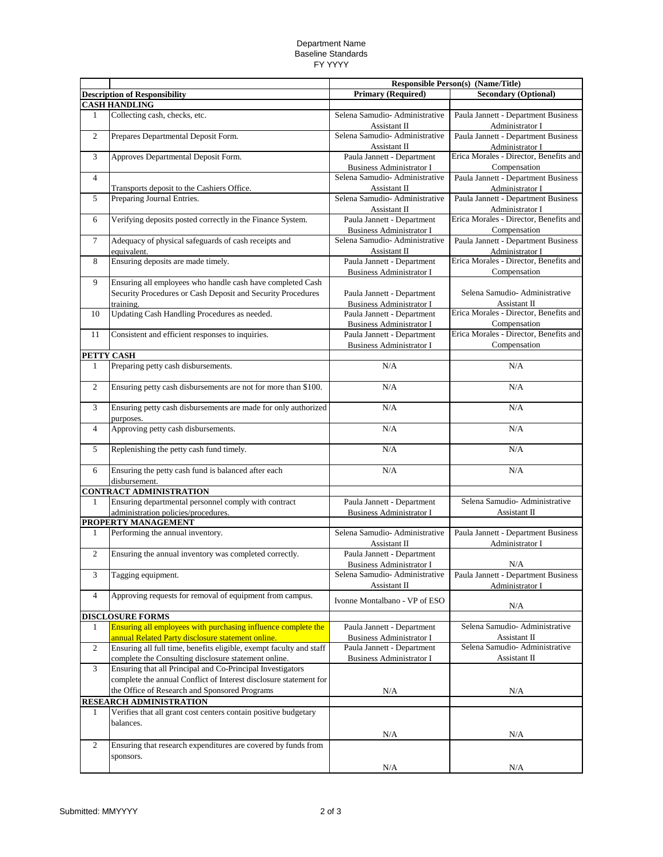## Department Name Baseline Standards FY YYYY

|                |                                                                                                                           | <b>Responsible Person(s) (Name/Title)</b>                     |                                                           |
|----------------|---------------------------------------------------------------------------------------------------------------------------|---------------------------------------------------------------|-----------------------------------------------------------|
|                | <b>Description of Responsibility</b>                                                                                      | <b>Primary (Required)</b>                                     | <b>Secondary (Optional)</b>                               |
|                | <b>CASH HANDLING</b>                                                                                                      |                                                               |                                                           |
| $\mathbf{1}$   | Collecting cash, checks, etc.                                                                                             | Selena Samudio- Administrative<br>Assistant II                | Paula Jannett - Department Business<br>Administrator I    |
| $\overline{c}$ | Prepares Departmental Deposit Form.                                                                                       | Selena Samudio- Administrative<br>Assistant II                | Paula Jannett - Department Business<br>Administrator I    |
| 3              | Approves Departmental Deposit Form.                                                                                       | Paula Jannett - Department<br><b>Business Administrator I</b> | Erica Morales - Director, Benefits and<br>Compensation    |
| $\overline{4}$ |                                                                                                                           | Selena Samudio- Administrative                                | Paula Jannett - Department Business                       |
|                | Transports deposit to the Cashiers Office.                                                                                | Assistant II                                                  | Administrator I                                           |
| 5              | Preparing Journal Entries.                                                                                                | Selena Samudio-Administrative<br>Assistant II                 | Paula Jannett - Department Business<br>Administrator I    |
| 6              | Verifying deposits posted correctly in the Finance System.                                                                | Paula Jannett - Department<br><b>Business Administrator I</b> | Erica Morales - Director, Benefits and<br>Compensation    |
| 7              | Adequacy of physical safeguards of cash receipts and                                                                      | Selena Samudio- Administrative                                | Paula Jannett - Department Business                       |
| 8              | equivalent.<br>Ensuring deposits are made timely.                                                                         | Assistant II<br>Paula Jannett - Department                    | Administrator I<br>Erica Morales - Director, Benefits and |
|                |                                                                                                                           | <b>Business Administrator I</b>                               | Compensation                                              |
| 9              | Ensuring all employees who handle cash have completed Cash<br>Security Procedures or Cash Deposit and Security Procedures | Paula Jannett - Department                                    | Selena Samudio-Administrative                             |
|                | training.                                                                                                                 | <b>Business Administrator I</b>                               | Assistant II                                              |
| 10             | Updating Cash Handling Procedures as needed.                                                                              | Paula Jannett - Department<br><b>Business Administrator I</b> | Erica Morales - Director, Benefits and<br>Compensation    |
| 11             | Consistent and efficient responses to inquiries.                                                                          | Paula Jannett - Department                                    | Erica Morales - Director, Benefits and                    |
|                |                                                                                                                           | <b>Business Administrator I</b>                               | Compensation                                              |
|                | PETTY CASH                                                                                                                |                                                               |                                                           |
| 1              | Preparing petty cash disbursements.                                                                                       | N/A                                                           | N/A                                                       |
| $\overline{c}$ | Ensuring petty cash disbursements are not for more than \$100.                                                            | N/A                                                           | N/A                                                       |
| 3              | Ensuring petty cash disbursements are made for only authorized<br>purposes.                                               | N/A                                                           | N/A                                                       |
| $\overline{4}$ | Approving petty cash disbursements.                                                                                       | N/A                                                           | N/A                                                       |
| 5              | Replenishing the petty cash fund timely.                                                                                  | N/A                                                           | N/A                                                       |
| 6              | Ensuring the petty cash fund is balanced after each<br>disbursement.                                                      | N/A                                                           | N/A                                                       |
|                | <b>CONTRACT ADMINISTRATION</b>                                                                                            |                                                               |                                                           |
| 1              | Ensuring departmental personnel comply with contract<br>administration policies/procedures.                               | Paula Jannett - Department<br><b>Business Administrator I</b> | Selena Samudio-Administrative<br>Assistant II             |
|                | PROPERTY MANAGEMENT                                                                                                       |                                                               |                                                           |
| 1              | Performing the annual inventory.                                                                                          | Selena Samudio-Administrative<br>Assistant II                 | Paula Jannett - Department Business<br>Administrator I    |
| $\overline{c}$ | Ensuring the annual inventory was completed correctly.                                                                    | Paula Jannett - Department                                    |                                                           |
|                | Tagging equipment.                                                                                                        | Business Administrator I<br>Selena Samudio-Administrative     | N/A                                                       |
| 3              |                                                                                                                           | Assistant II                                                  | Paula Jannett - Department Business<br>Administrator I    |
| $\overline{4}$ | Approving requests for removal of equipment from campus.                                                                  | Ivonne Montalbano - VP of ESO                                 | N/A                                                       |
|                | <b>DISCLOSURE FORMS</b>                                                                                                   |                                                               |                                                           |
| 1              | Ensuring all employees with purchasing influence complete the<br>annual Related Party disclosure statement online.        | Paula Jannett - Department<br><b>Business Administrator I</b> | Selena Samudio- Administrative<br>Assistant II            |
| $\overline{c}$ | Ensuring all full time, benefits eligible, exempt faculty and staff                                                       | Paula Jannett - Department                                    | Selena Samudio- Administrative                            |
|                | complete the Consulting disclosure statement online.                                                                      | <b>Business Administrator I</b>                               | Assistant II                                              |
| 3              | Ensuring that all Principal and Co-Principal Investigators                                                                |                                                               |                                                           |
|                | complete the annual Conflict of Interest disclosure statement for                                                         |                                                               |                                                           |
|                | the Office of Research and Sponsored Programs                                                                             | N/A                                                           | N/A                                                       |
|                | RESEARCH ADMINISTRATION                                                                                                   |                                                               |                                                           |
| 1              | Verifies that all grant cost centers contain positive budgetary                                                           |                                                               |                                                           |
|                | balances.                                                                                                                 |                                                               |                                                           |
|                |                                                                                                                           | N/A                                                           | N/A                                                       |
| $\overline{c}$ | Ensuring that research expenditures are covered by funds from<br>sponsors.                                                |                                                               |                                                           |
|                |                                                                                                                           | N/A                                                           | N/A                                                       |